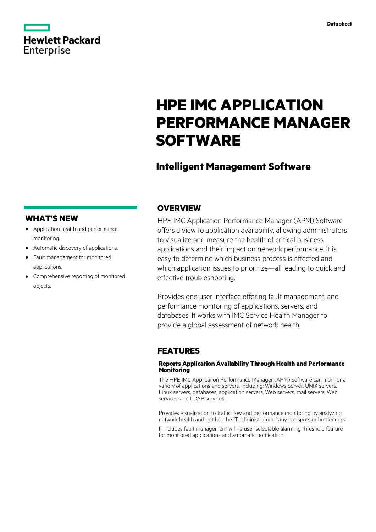|                   | <b>Hewlett Packard</b> |
|-------------------|------------------------|
| <b>Enterprise</b> |                        |

# **HPE IMC APPLICATION PERFORMANCE MANAGER SOFTWARE**

## **Intelligent Management Software**

### **WHAT'S NEW**

- **·** Application health and performance monitoring.
- **·** Automatic discovery of applications.
- **·** Fault management for monitored applications.
- **·** Comprehensive reporting of monitored objects.

### **OVERVIEW**

HPE IMC Application Performance Manager (APM) Software offers a view to application availability, allowing administrators to visualize and measure the health of critical business applications and their impact on network performance. It is easy to determine which business process is affected and which application issues to prioritize—all leading to quick and effective troubleshooting.

Provides one user interface offering fault management, and performance monitoring of applications, servers, and databases. It works with IMC Service Health Manager to provide a global assessment of network health.

### **FEATURES**

### **Reports Application Availability Through Health and Performance Monitoring**

The HPE IMC Application Performance Manager (APM) Software can monitor a variety of applications and servers, including: Windows Server, UNIX servers, Linux servers, databases, application servers, Web servers, mail servers, Web services, and LDAP services.

Provides visualization to traffic flow and performance monitoring by analyzing network health and notifies the IT administrator of any hot spots or bottlenecks.

It includes fault management with a user selectable alarming threshold feature for monitored applications and automatic notification.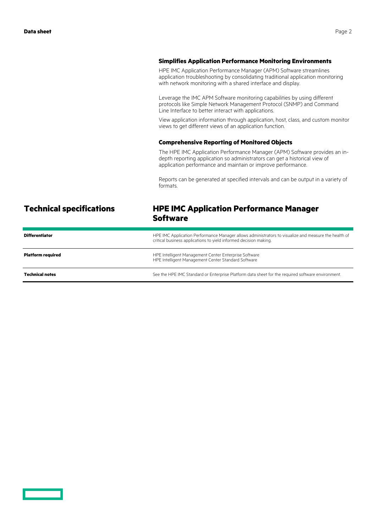#### **Simplifies Application Performance Monitoring Environments**

HPE IMC Application Performance Manager (APM) Software streamlines application troubleshooting by consolidating traditional application monitoring with network monitoring with a shared interface and display.

Leverage the IMC APM Software monitoring capabilities by using different protocols like Simple Network Management Protocol (SNMP) and Command Line Interface to better interact with applications.

View application information through application, host, class, and custom monitor views to get different views of an application function.

#### **Comprehensive Reporting of Monitored Objects**

The HPE IMC Application Performance Manager (APM) Software provides an indepth reporting application so administrators can get a historical view of application performance and maintain or improve performance.

Reports can be generated at specified intervals and can be output in a variety of formats.

### **Technical specifications HPE IMC Application Performance Manager Software**

| <b>Differentiator</b>    | HPE IMC Application Performance Manager allows administrators to visualize and measure the health of<br>critical business applications to yield informed decision making. |
|--------------------------|---------------------------------------------------------------------------------------------------------------------------------------------------------------------------|
| <b>Platform required</b> | HPE Intelligent Management Center Enterprise Software<br>HPE Intelligent Management Center Standard Software                                                              |
| <b>Technical notes</b>   | See the HPE IMC Standard or Enterprise Platform data sheet for the required software environment.                                                                         |